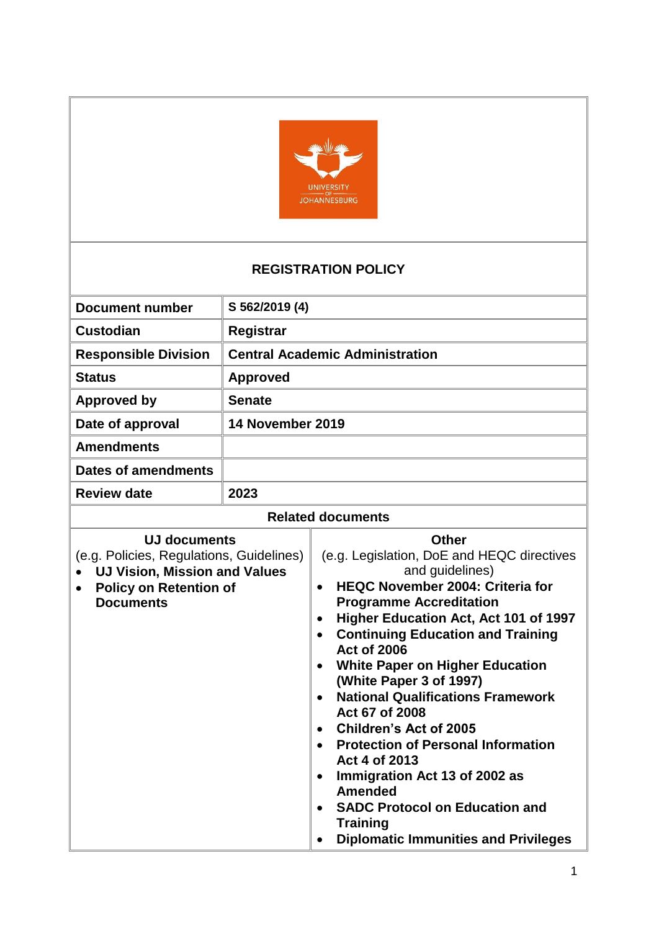

## **REGISTRATION POLICY**

| <b>Document number</b>                                                                                                                                       | S 562/2019 (4)                         |                                                                                                                                                                                                                                                                                                                                                                                                                                                                                                                                                                                                                                                                                                                                        |
|--------------------------------------------------------------------------------------------------------------------------------------------------------------|----------------------------------------|----------------------------------------------------------------------------------------------------------------------------------------------------------------------------------------------------------------------------------------------------------------------------------------------------------------------------------------------------------------------------------------------------------------------------------------------------------------------------------------------------------------------------------------------------------------------------------------------------------------------------------------------------------------------------------------------------------------------------------------|
| <b>Custodian</b>                                                                                                                                             | <b>Registrar</b>                       |                                                                                                                                                                                                                                                                                                                                                                                                                                                                                                                                                                                                                                                                                                                                        |
| <b>Responsible Division</b>                                                                                                                                  | <b>Central Academic Administration</b> |                                                                                                                                                                                                                                                                                                                                                                                                                                                                                                                                                                                                                                                                                                                                        |
| <b>Status</b>                                                                                                                                                | <b>Approved</b>                        |                                                                                                                                                                                                                                                                                                                                                                                                                                                                                                                                                                                                                                                                                                                                        |
| <b>Approved by</b>                                                                                                                                           | <b>Senate</b>                          |                                                                                                                                                                                                                                                                                                                                                                                                                                                                                                                                                                                                                                                                                                                                        |
| Date of approval                                                                                                                                             | 14 November 2019                       |                                                                                                                                                                                                                                                                                                                                                                                                                                                                                                                                                                                                                                                                                                                                        |
| <b>Amendments</b>                                                                                                                                            |                                        |                                                                                                                                                                                                                                                                                                                                                                                                                                                                                                                                                                                                                                                                                                                                        |
| <b>Dates of amendments</b>                                                                                                                                   |                                        |                                                                                                                                                                                                                                                                                                                                                                                                                                                                                                                                                                                                                                                                                                                                        |
| <b>Review date</b>                                                                                                                                           | 2023                                   |                                                                                                                                                                                                                                                                                                                                                                                                                                                                                                                                                                                                                                                                                                                                        |
| <b>Related documents</b>                                                                                                                                     |                                        |                                                                                                                                                                                                                                                                                                                                                                                                                                                                                                                                                                                                                                                                                                                                        |
| <b>UJ documents</b><br>(e.g. Policies, Regulations, Guidelines)<br><b>UJ Vision, Mission and Values</b><br><b>Policy on Retention of</b><br><b>Documents</b> |                                        | <b>Other</b><br>(e.g. Legislation, DoE and HEQC directives<br>and guidelines)<br><b>HEQC November 2004: Criteria for</b><br>$\bullet$<br><b>Programme Accreditation</b><br>Higher Education Act, Act 101 of 1997<br>$\bullet$<br><b>Continuing Education and Training</b><br>$\bullet$<br><b>Act of 2006</b><br><b>White Paper on Higher Education</b><br>(White Paper 3 of 1997)<br><b>National Qualifications Framework</b><br>Act 67 of 2008<br><b>Children's Act of 2005</b><br><b>Protection of Personal Information</b><br>$\bullet$<br>Act 4 of 2013<br>Immigration Act 13 of 2002 as<br>$\bullet$<br><b>Amended</b><br><b>SADC Protocol on Education and</b><br><b>Training</b><br><b>Diplomatic Immunities and Privileges</b> |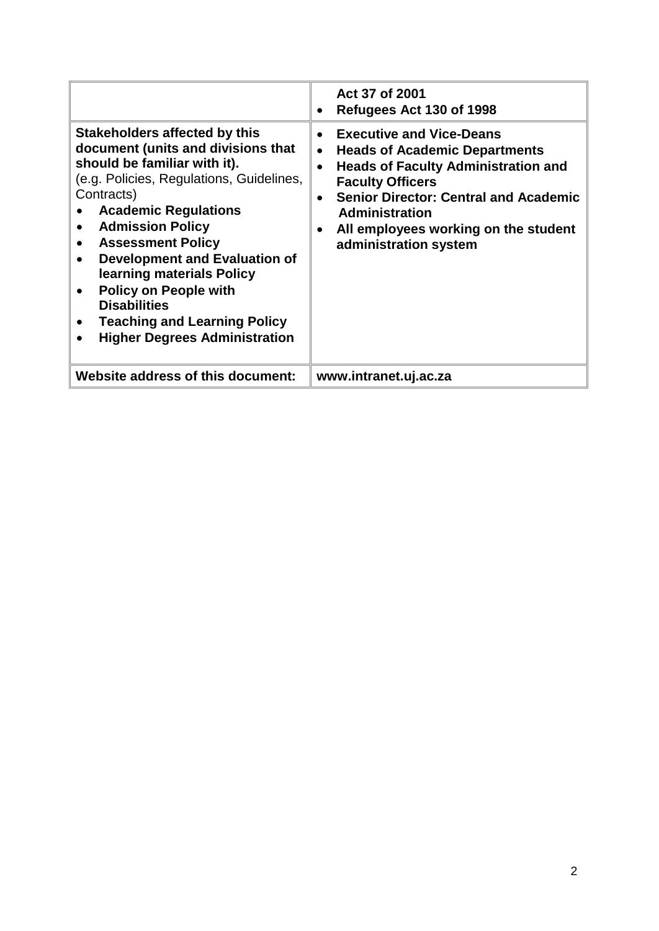|                                                                                                                                                                                                                                                                                                                                                                                                                                                                       | Act 37 of 2001<br>Refugees Act 130 of 1998                                                                                                                                                                                                                                                                                                     |
|-----------------------------------------------------------------------------------------------------------------------------------------------------------------------------------------------------------------------------------------------------------------------------------------------------------------------------------------------------------------------------------------------------------------------------------------------------------------------|------------------------------------------------------------------------------------------------------------------------------------------------------------------------------------------------------------------------------------------------------------------------------------------------------------------------------------------------|
| <b>Stakeholders affected by this</b><br>document (units and divisions that<br>should be familiar with it).<br>(e.g. Policies, Regulations, Guidelines,<br>Contracts)<br><b>Academic Regulations</b><br><b>Admission Policy</b><br><b>Assessment Policy</b><br><b>Development and Evaluation of</b><br>learning materials Policy<br><b>Policy on People with</b><br><b>Disabilities</b><br><b>Teaching and Learning Policy</b><br><b>Higher Degrees Administration</b> | <b>Executive and Vice-Deans</b><br>$\bullet$<br><b>Heads of Academic Departments</b><br>$\bullet$<br><b>Heads of Faculty Administration and</b><br>$\bullet$<br><b>Faculty Officers</b><br><b>Senior Director: Central and Academic</b><br>$\bullet$<br><b>Administration</b><br>All employees working on the student<br>administration system |
| Website address of this document:                                                                                                                                                                                                                                                                                                                                                                                                                                     | www.intranet.uj.ac.za                                                                                                                                                                                                                                                                                                                          |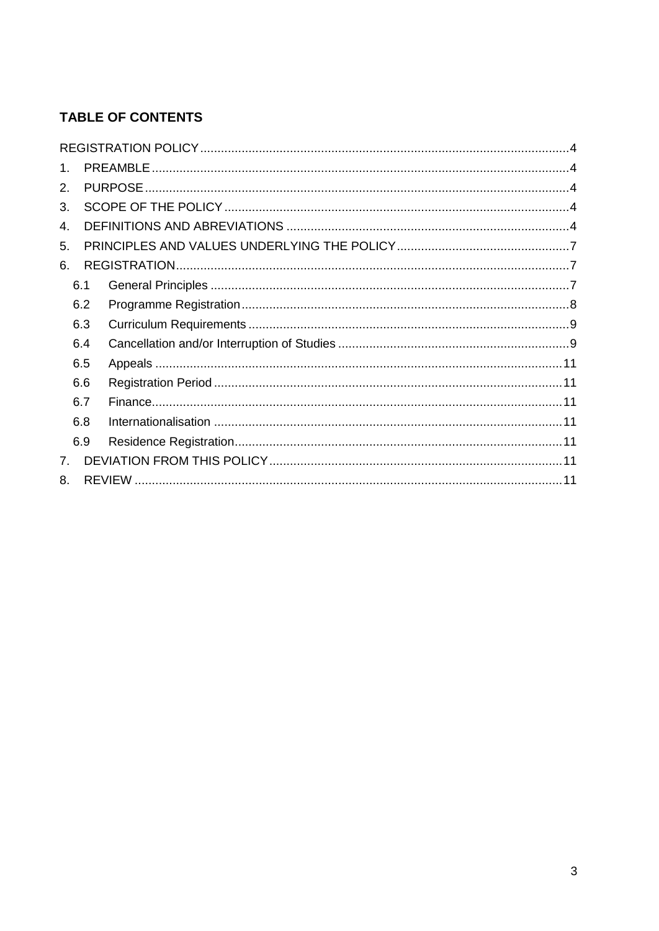# **TABLE OF CONTENTS**

| $1_{-}$        |     |  |
|----------------|-----|--|
| 2.             |     |  |
| 3.             |     |  |
| 4.             |     |  |
| 5.             |     |  |
| 6.             |     |  |
|                | 6.1 |  |
|                | 6.2 |  |
|                | 6.3 |  |
|                | 6.4 |  |
|                | 6.5 |  |
|                | 6.6 |  |
|                | 6.7 |  |
|                | 6.8 |  |
|                | 6.9 |  |
| 7 <sub>1</sub> |     |  |
| 8.             |     |  |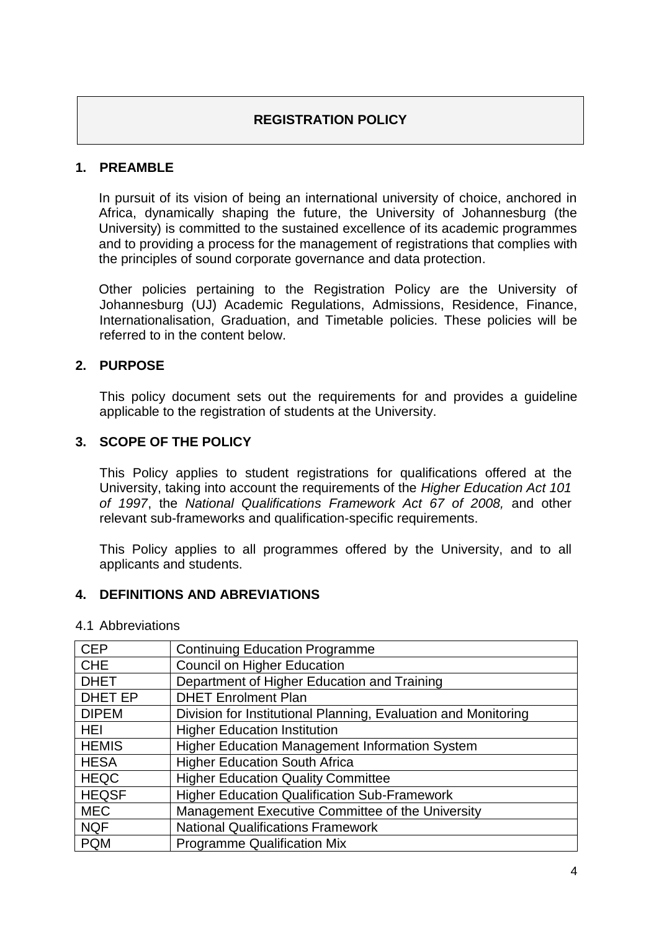## **REGISTRATION POLICY**

### <span id="page-3-1"></span><span id="page-3-0"></span>**1. PREAMBLE**

In pursuit of its vision of being an international university of choice, anchored in Africa, dynamically shaping the future, the University of Johannesburg (the University) is committed to the sustained excellence of its academic programmes and to providing a process for the management of registrations that complies with the principles of sound corporate governance and data protection.

Other policies pertaining to the Registration Policy are the University of Johannesburg (UJ) Academic Regulations, Admissions, Residence, Finance, Internationalisation, Graduation, and Timetable policies. These policies will be referred to in the content below.

### <span id="page-3-2"></span>**2. PURPOSE**

This policy document sets out the requirements for and provides a guideline applicable to the registration of students at the University.

#### <span id="page-3-3"></span>**3. SCOPE OF THE POLICY**

This Policy applies to student registrations for qualifications offered at the University, taking into account the requirements of the *Higher Education Act 101 of 1997*, the *National Qualifications Framework Act 67 of 2008,* and other relevant sub-frameworks and qualification-specific requirements.

This Policy applies to all programmes offered by the University, and to all applicants and students.

### <span id="page-3-4"></span>**4. DEFINITIONS AND ABREVIATIONS**

| <b>CEP</b>     | <b>Continuing Education Programme</b>                          |
|----------------|----------------------------------------------------------------|
| <b>CHE</b>     | <b>Council on Higher Education</b>                             |
| <b>DHET</b>    | Department of Higher Education and Training                    |
| <b>DHET EP</b> | <b>DHET Enrolment Plan</b>                                     |
| <b>DIPEM</b>   | Division for Institutional Planning, Evaluation and Monitoring |
| <b>HEI</b>     | <b>Higher Education Institution</b>                            |
| <b>HEMIS</b>   | <b>Higher Education Management Information System</b>          |
| <b>HESA</b>    | <b>Higher Education South Africa</b>                           |
| <b>HEQC</b>    | <b>Higher Education Quality Committee</b>                      |
| <b>HEQSF</b>   | <b>Higher Education Qualification Sub-Framework</b>            |
| <b>MEC</b>     | Management Executive Committee of the University               |
| <b>NQF</b>     | <b>National Qualifications Framework</b>                       |
| <b>PQM</b>     | <b>Programme Qualification Mix</b>                             |

### 4.1 Abbreviations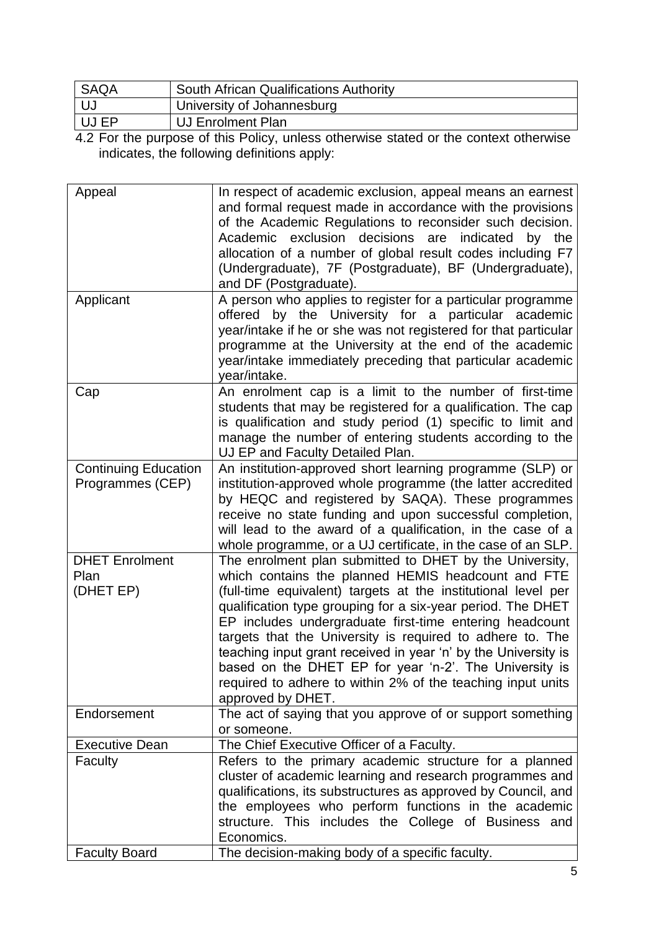| <b>SAQA</b> | South African Qualifications Authority |
|-------------|----------------------------------------|
|             | University of Johannesburg             |
| UJ EP       | UJ Enrolment Plan                      |
|             |                                        |

4.2 For the purpose of this Policy, unless otherwise stated or the context otherwise indicates, the following definitions apply:

| Appeal                                          | In respect of academic exclusion, appeal means an earnest<br>and formal request made in accordance with the provisions<br>of the Academic Regulations to reconsider such decision.<br>exclusion decisions<br>indicated<br>Academic<br>are<br>by the<br>allocation of a number of global result codes including F7<br>(Undergraduate), 7F (Postgraduate), BF (Undergraduate),<br>and DF (Postgraduate).                                                                                                                                                                                |
|-------------------------------------------------|---------------------------------------------------------------------------------------------------------------------------------------------------------------------------------------------------------------------------------------------------------------------------------------------------------------------------------------------------------------------------------------------------------------------------------------------------------------------------------------------------------------------------------------------------------------------------------------|
| Applicant                                       | A person who applies to register for a particular programme<br>offered by the University for a particular academic<br>year/intake if he or she was not registered for that particular<br>programme at the University at the end of the academic<br>year/intake immediately preceding that particular academic<br>year/intake.                                                                                                                                                                                                                                                         |
| Cap                                             | An enrolment cap is a limit to the number of first-time<br>students that may be registered for a qualification. The cap<br>is qualification and study period (1) specific to limit and<br>manage the number of entering students according to the<br>UJ EP and Faculty Detailed Plan.                                                                                                                                                                                                                                                                                                 |
| <b>Continuing Education</b><br>Programmes (CEP) | An institution-approved short learning programme (SLP) or<br>institution-approved whole programme (the latter accredited<br>by HEQC and registered by SAQA). These programmes<br>receive no state funding and upon successful completion,<br>will lead to the award of a qualification, in the case of a<br>whole programme, or a UJ certificate, in the case of an SLP.                                                                                                                                                                                                              |
| <b>DHET Enrolment</b><br>Plan<br>(DHET EP)      | The enrolment plan submitted to DHET by the University,<br>which contains the planned HEMIS headcount and FTE<br>(full-time equivalent) targets at the institutional level per<br>qualification type grouping for a six-year period. The DHET<br>EP includes undergraduate first-time entering headcount<br>targets that the University is required to adhere to. The<br>teaching input grant received in year 'n' by the University is<br>based on the DHET EP for year 'n-2'. The University is<br>required to adhere to within 2% of the teaching input units<br>approved by DHET. |
| Endorsement                                     | The act of saying that you approve of or support something<br>or someone.                                                                                                                                                                                                                                                                                                                                                                                                                                                                                                             |
| <b>Executive Dean</b>                           | The Chief Executive Officer of a Faculty.                                                                                                                                                                                                                                                                                                                                                                                                                                                                                                                                             |
| Faculty                                         | Refers to the primary academic structure for a planned<br>cluster of academic learning and research programmes and<br>qualifications, its substructures as approved by Council, and<br>the employees who perform functions in the academic<br>structure. This includes the College of Business and<br>Economics.                                                                                                                                                                                                                                                                      |
| <b>Faculty Board</b>                            | The decision-making body of a specific faculty.                                                                                                                                                                                                                                                                                                                                                                                                                                                                                                                                       |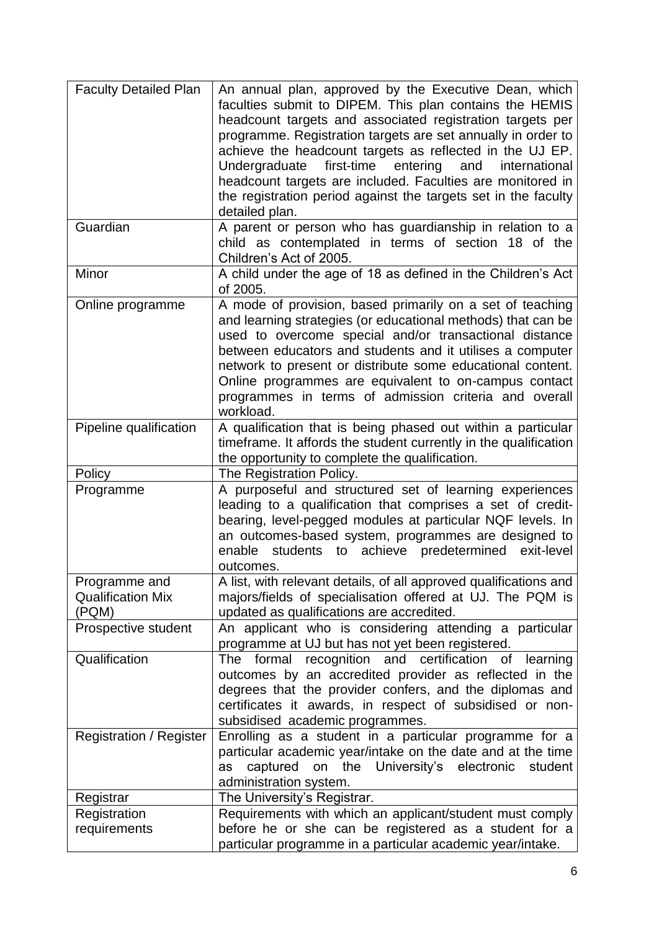| <b>Faculty Detailed Plan</b>                       | An annual plan, approved by the Executive Dean, which<br>faculties submit to DIPEM. This plan contains the HEMIS<br>headcount targets and associated registration targets per<br>programme. Registration targets are set annually in order to<br>achieve the headcount targets as reflected in the UJ EP.<br>first-time<br>Undergraduate<br>entering<br>and<br>international<br>headcount targets are included. Faculties are monitored in<br>the registration period against the targets set in the faculty<br>detailed plan. |
|----------------------------------------------------|--------------------------------------------------------------------------------------------------------------------------------------------------------------------------------------------------------------------------------------------------------------------------------------------------------------------------------------------------------------------------------------------------------------------------------------------------------------------------------------------------------------------------------|
| Guardian                                           | A parent or person who has guardianship in relation to a<br>child as contemplated in terms of section 18 of the<br>Children's Act of 2005.                                                                                                                                                                                                                                                                                                                                                                                     |
| Minor                                              | A child under the age of 18 as defined in the Children's Act<br>of 2005.                                                                                                                                                                                                                                                                                                                                                                                                                                                       |
| Online programme                                   | A mode of provision, based primarily on a set of teaching<br>and learning strategies (or educational methods) that can be<br>used to overcome special and/or transactional distance<br>between educators and students and it utilises a computer<br>network to present or distribute some educational content.<br>Online programmes are equivalent to on-campus contact<br>programmes in terms of admission criteria and overall<br>workload.                                                                                  |
| Pipeline qualification                             | A qualification that is being phased out within a particular<br>timeframe. It affords the student currently in the qualification<br>the opportunity to complete the qualification.                                                                                                                                                                                                                                                                                                                                             |
| Policy                                             | The Registration Policy.                                                                                                                                                                                                                                                                                                                                                                                                                                                                                                       |
| Programme                                          | A purposeful and structured set of learning experiences<br>leading to a qualification that comprises a set of credit-<br>bearing, level-pegged modules at particular NQF levels. In<br>an outcomes-based system, programmes are designed to<br>enable students to achieve<br>predetermined exit-level<br>outcomes.                                                                                                                                                                                                             |
| Programme and<br><b>Qualification Mix</b><br>(PQM) | A list, with relevant details, of all approved qualifications and<br>majors/fields of specialisation offered at UJ. The PQM is<br>updated as qualifications are accredited.                                                                                                                                                                                                                                                                                                                                                    |
| Prospective student                                | An applicant who is considering attending a particular<br>programme at UJ but has not yet been registered.                                                                                                                                                                                                                                                                                                                                                                                                                     |
| Qualification                                      | certification<br>The<br>formal<br>recognition and<br>learning<br>of<br>outcomes by an accredited provider as reflected in the<br>degrees that the provider confers, and the diplomas and<br>certificates it awards, in respect of subsidised or non-<br>subsidised academic programmes.                                                                                                                                                                                                                                        |
| <b>Registration / Register</b>                     | Enrolling as a student in a particular programme for a<br>particular academic year/intake on the date and at the time<br>captured on the University's electronic<br>student<br>as                                                                                                                                                                                                                                                                                                                                              |
|                                                    | administration system.                                                                                                                                                                                                                                                                                                                                                                                                                                                                                                         |
| Registrar                                          | The University's Registrar.                                                                                                                                                                                                                                                                                                                                                                                                                                                                                                    |
| Registration<br>requirements                       | Requirements with which an applicant/student must comply<br>before he or she can be registered as a student for a                                                                                                                                                                                                                                                                                                                                                                                                              |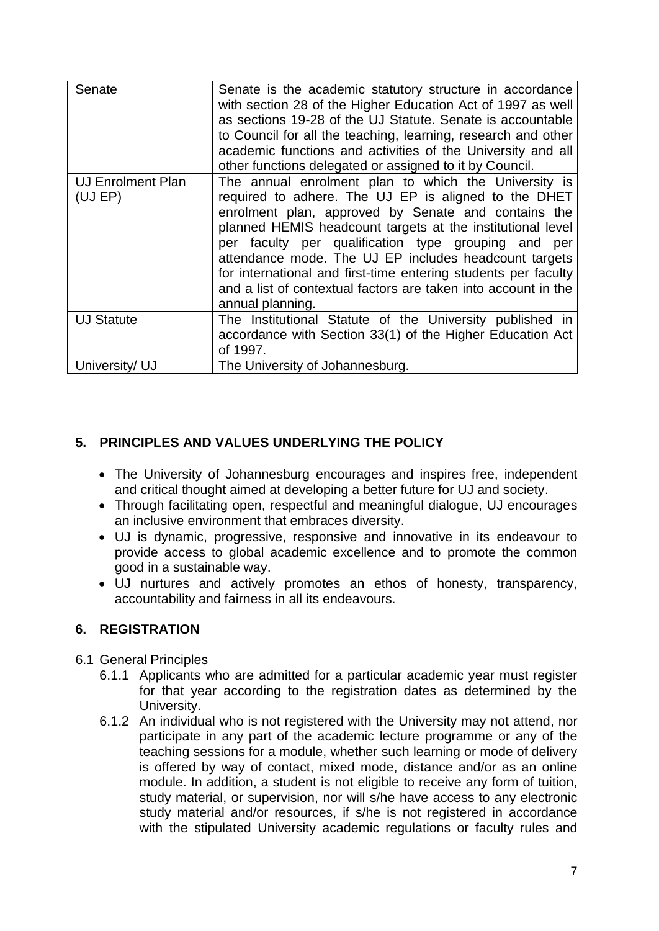| Senate                              | Senate is the academic statutory structure in accordance<br>with section 28 of the Higher Education Act of 1997 as well<br>as sections 19-28 of the UJ Statute. Senate is accountable<br>to Council for all the teaching, learning, research and other<br>academic functions and activities of the University and all<br>other functions delegated or assigned to it by Council.                                                                                                                          |
|-------------------------------------|-----------------------------------------------------------------------------------------------------------------------------------------------------------------------------------------------------------------------------------------------------------------------------------------------------------------------------------------------------------------------------------------------------------------------------------------------------------------------------------------------------------|
| <b>UJ Enrolment Plan</b><br>(UJ EP) | The annual enrolment plan to which the University is<br>required to adhere. The UJ EP is aligned to the DHET<br>enrolment plan, approved by Senate and contains the<br>planned HEMIS headcount targets at the institutional level<br>per faculty per qualification type grouping and per<br>attendance mode. The UJ EP includes headcount targets<br>for international and first-time entering students per faculty<br>and a list of contextual factors are taken into account in the<br>annual planning. |
| <b>UJ Statute</b>                   | The Institutional Statute of the University published in<br>accordance with Section 33(1) of the Higher Education Act<br>of 1997.                                                                                                                                                                                                                                                                                                                                                                         |
| University/ UJ                      | The University of Johannesburg.                                                                                                                                                                                                                                                                                                                                                                                                                                                                           |

### <span id="page-6-0"></span>**5. PRINCIPLES AND VALUES UNDERLYING THE POLICY**

- The University of Johannesburg encourages and inspires free, independent and critical thought aimed at developing a better future for UJ and society.
- Through facilitating open, respectful and meaningful dialogue, UJ encourages an inclusive environment that embraces diversity.
- UJ is dynamic, progressive, responsive and innovative in its endeavour to provide access to global academic excellence and to promote the common good in a sustainable way.
- UJ nurtures and actively promotes an ethos of honesty, transparency, accountability and fairness in all its endeavours.

### <span id="page-6-1"></span>**6. REGISTRATION**

- <span id="page-6-2"></span>6.1 General Principles
	- 6.1.1 Applicants who are admitted for a particular academic year must register for that year according to the registration dates as determined by the University.
	- 6.1.2 An individual who is not registered with the University may not attend, nor participate in any part of the academic lecture programme or any of the teaching sessions for a module, whether such learning or mode of delivery is offered by way of contact, mixed mode, distance and/or as an online module. In addition, a student is not eligible to receive any form of tuition, study material, or supervision, nor will s/he have access to any electronic study material and/or resources, if s/he is not registered in accordance with the stipulated University academic regulations or faculty rules and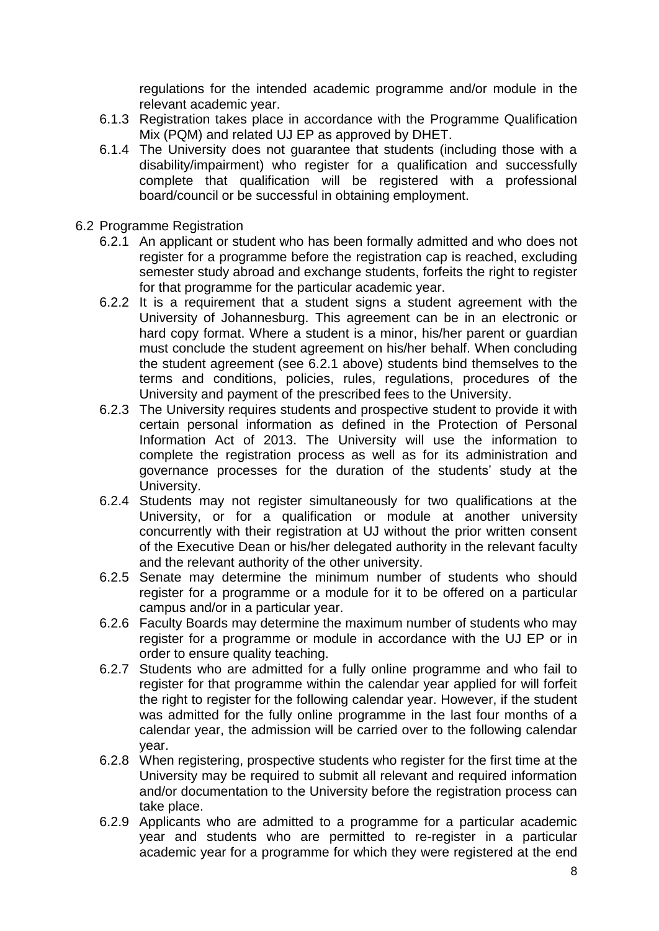regulations for the intended academic programme and/or module in the relevant academic year.

- 6.1.3 Registration takes place in accordance with the Programme Qualification Mix (PQM) and related UJ EP as approved by DHET.
- 6.1.4 The University does not guarantee that students (including those with a disability/impairment) who register for a qualification and successfully complete that qualification will be registered with a professional board/council or be successful in obtaining employment.
- <span id="page-7-0"></span>6.2 Programme Registration
	- 6.2.1 An applicant or student who has been formally admitted and who does not register for a programme before the registration cap is reached, excluding semester study abroad and exchange students, forfeits the right to register for that programme for the particular academic year.
	- 6.2.2 It is a requirement that a student signs a student agreement with the University of Johannesburg. This agreement can be in an electronic or hard copy format. Where a student is a minor, his/her parent or guardian must conclude the student agreement on his/her behalf. When concluding the student agreement (see 6.2.1 above) students bind themselves to the terms and conditions, policies, rules, regulations, procedures of the University and payment of the prescribed fees to the University.
	- 6.2.3 The University requires students and prospective student to provide it with certain personal information as defined in the Protection of Personal Information Act of 2013. The University will use the information to complete the registration process as well as for its administration and governance processes for the duration of the students' study at the University.
	- 6.2.4 Students may not register simultaneously for two qualifications at the University, or for a qualification or module at another university concurrently with their registration at UJ without the prior written consent of the Executive Dean or his/her delegated authority in the relevant faculty and the relevant authority of the other university.
	- 6.2.5 Senate may determine the minimum number of students who should register for a programme or a module for it to be offered on a particular campus and/or in a particular year.
	- 6.2.6 Faculty Boards may determine the maximum number of students who may register for a programme or module in accordance with the UJ EP or in order to ensure quality teaching.
	- 6.2.7 Students who are admitted for a fully online programme and who fail to register for that programme within the calendar year applied for will forfeit the right to register for the following calendar year. However, if the student was admitted for the fully online programme in the last four months of a calendar year, the admission will be carried over to the following calendar year.
	- 6.2.8 When registering, prospective students who register for the first time at the University may be required to submit all relevant and required information and/or documentation to the University before the registration process can take place.
	- 6.2.9 Applicants who are admitted to a programme for a particular academic year and students who are permitted to re-register in a particular academic year for a programme for which they were registered at the end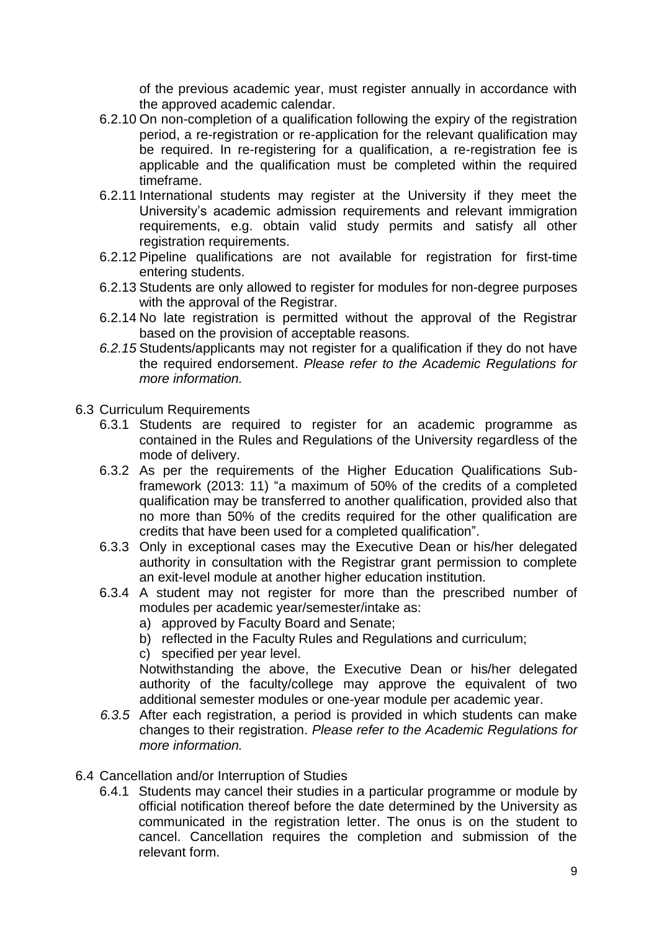of the previous academic year, must register annually in accordance with the approved academic calendar.

- 6.2.10 On non-completion of a qualification following the expiry of the registration period, a re-registration or re-application for the relevant qualification may be required. In re-registering for a qualification, a re-registration fee is applicable and the qualification must be completed within the required timeframe.
- 6.2.11 International students may register at the University if they meet the University's academic admission requirements and relevant immigration requirements, e.g. obtain valid study permits and satisfy all other registration requirements.
- 6.2.12 Pipeline qualifications are not available for registration for first-time entering students.
- 6.2.13 Students are only allowed to register for modules for non-degree purposes with the approval of the Registrar.
- 6.2.14 No late registration is permitted without the approval of the Registrar based on the provision of acceptable reasons.
- *6.2.15* Students/applicants may not register for a qualification if they do not have the required endorsement. *Please refer to the Academic Regulations for more information.*
- <span id="page-8-0"></span>6.3 Curriculum Requirements
	- 6.3.1 Students are required to register for an academic programme as contained in the Rules and Regulations of the University regardless of the mode of delivery.
	- 6.3.2 As per the requirements of the Higher Education Qualifications Subframework (2013: 11) "a maximum of 50% of the credits of a completed qualification may be transferred to another qualification, provided also that no more than 50% of the credits required for the other qualification are credits that have been used for a completed qualification".
	- 6.3.3 Only in exceptional cases may the Executive Dean or his/her delegated authority in consultation with the Registrar grant permission to complete an exit-level module at another higher education institution.
	- 6.3.4 A student may not register for more than the prescribed number of modules per academic year/semester/intake as:
		- a) approved by Faculty Board and Senate;
		- b) reflected in the Faculty Rules and Regulations and curriculum;
		- c) specified per year level.

Notwithstanding the above, the Executive Dean or his/her delegated authority of the faculty/college may approve the equivalent of two additional semester modules or one-year module per academic year.

- *6.3.5* After each registration, a period is provided in which students can make changes to their registration. *Please refer to the Academic Regulations for more information.*
- <span id="page-8-1"></span>6.4 Cancellation and/or Interruption of Studies
	- 6.4.1 Students may cancel their studies in a particular programme or module by official notification thereof before the date determined by the University as communicated in the registration letter. The onus is on the student to cancel. Cancellation requires the completion and submission of the relevant form.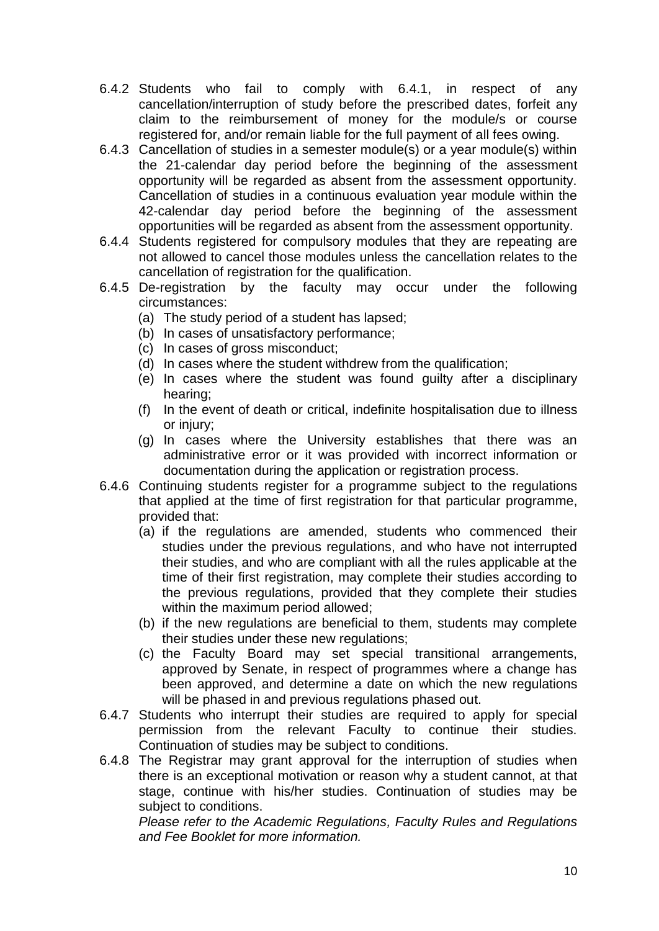- <span id="page-9-0"></span>6.4.2 Students who fail to comply with 6.4.1, in respect of any cancellation/interruption of study before the prescribed dates, forfeit any claim to the reimbursement of money for the module/s or course registered for, and/or remain liable for the full payment of all fees owing.
- 6.4.3 Cancellation of studies in a semester module(s) or a year module(s) within the 21-calendar day period before the beginning of the assessment opportunity will be regarded as absent from the assessment opportunity. Cancellation of studies in a continuous evaluation year module within the 42-calendar day period before the beginning of the assessment opportunities will be regarded as absent from the assessment opportunity.
- 6.4.4 Students registered for compulsory modules that they are repeating are not allowed to cancel those modules unless the cancellation relates to the cancellation of registration for the qualification.
- 6.4.5 De-registration by the faculty may occur under the following circumstances:
	- (a) The study period of a student has lapsed;
	- (b) In cases of unsatisfactory performance;
	- (c) In cases of gross misconduct;
	- (d) In cases where the student withdrew from the qualification;
	- (e) In cases where the student was found guilty after a disciplinary hearing;
	- (f) In the event of death or critical, indefinite hospitalisation due to illness or injury;
	- (g) In cases where the University establishes that there was an administrative error or it was provided with incorrect information or documentation during the application or registration process.
- 6.4.6 Continuing students register for a programme subject to the regulations that applied at the time of first registration for that particular programme, provided that:
	- (a) if the regulations are amended, students who commenced their studies under the previous regulations, and who have not interrupted their studies, and who are compliant with all the rules applicable at the time of their first registration, may complete their studies according to the previous regulations, provided that they complete their studies within the maximum period allowed;
	- (b) if the new regulations are beneficial to them, students may complete their studies under these new regulations;
	- (c) the Faculty Board may set special transitional arrangements, approved by Senate, in respect of programmes where a change has been approved, and determine a date on which the new regulations will be phased in and previous regulations phased out.
- 6.4.7 Students who interrupt their studies are required to apply for special permission from the relevant Faculty to continue their studies. Continuation of studies may be subject to conditions.
- 6.4.8 The Registrar may grant approval for the interruption of studies when there is an exceptional motivation or reason why a student cannot, at that stage, continue with his/her studies. Continuation of studies may be subject to conditions.

*Please refer to the Academic Regulations, Faculty Rules and Regulations and Fee Booklet for more information.*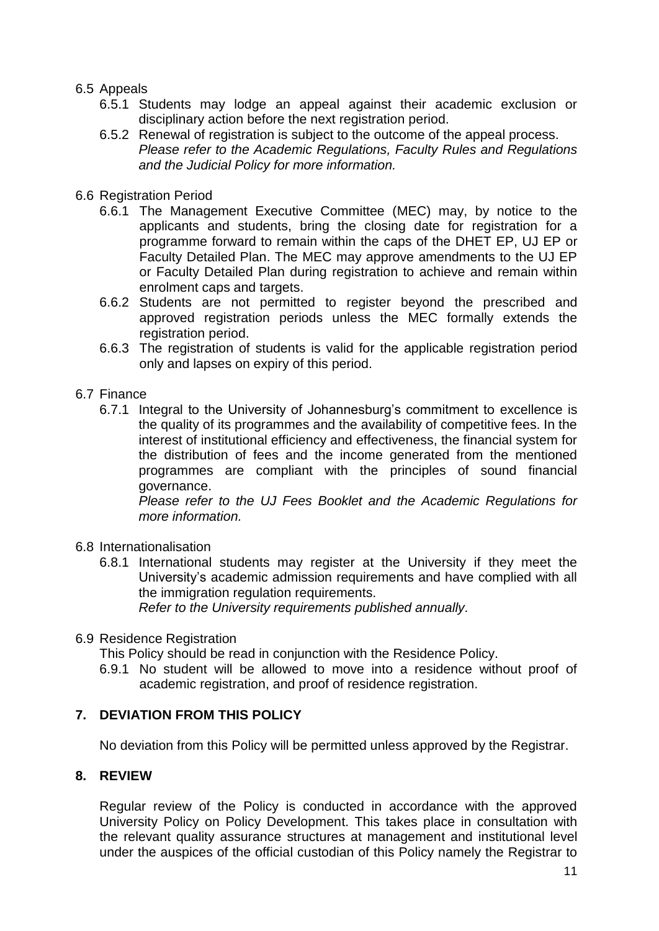### 6.5 Appeals

- 6.5.1 Students may lodge an appeal against their academic exclusion or disciplinary action before the next registration period.
- 6.5.2 Renewal of registration is subject to the outcome of the appeal process. *Please refer to the Academic Regulations, Faculty Rules and Regulations and the Judicial Policy for more information.*
- <span id="page-10-0"></span>6.6 Registration Period
	- 6.6.1 The Management Executive Committee (MEC) may, by notice to the applicants and students, bring the closing date for registration for a programme forward to remain within the caps of the DHET EP, UJ EP or Faculty Detailed Plan. The MEC may approve amendments to the UJ EP or Faculty Detailed Plan during registration to achieve and remain within enrolment caps and targets.
	- 6.6.2 Students are not permitted to register beyond the prescribed and approved registration periods unless the MEC formally extends the registration period.
	- 6.6.3 The registration of students is valid for the applicable registration period only and lapses on expiry of this period.

#### <span id="page-10-1"></span>6.7 Finance

6.7.1 Integral to the University of Johannesburg's commitment to excellence is the quality of its programmes and the availability of competitive fees. In the interest of institutional efficiency and effectiveness, the financial system for the distribution of fees and the income generated from the mentioned programmes are compliant with the principles of sound financial governance.

*Please refer to the UJ Fees Booklet and the Academic Regulations for more information.*

- <span id="page-10-2"></span>6.8 Internationalisation
	- 6.8.1 International students may register at the University if they meet the University's academic admission requirements and have complied with all the immigration regulation requirements. *Refer to the University requirements published annually.*

#### <span id="page-10-3"></span>6.9 Residence Registration

This Policy should be read in conjunction with the Residence Policy.

6.9.1 No student will be allowed to move into a residence without proof of academic registration, and proof of residence registration.

### <span id="page-10-4"></span>**7. DEVIATION FROM THIS POLICY**

No deviation from this Policy will be permitted unless approved by the Registrar.

### <span id="page-10-5"></span>**8. REVIEW**

Regular review of the Policy is conducted in accordance with the approved University Policy on Policy Development. This takes place in consultation with the relevant quality assurance structures at management and institutional level under the auspices of the official custodian of this Policy namely the Registrar to